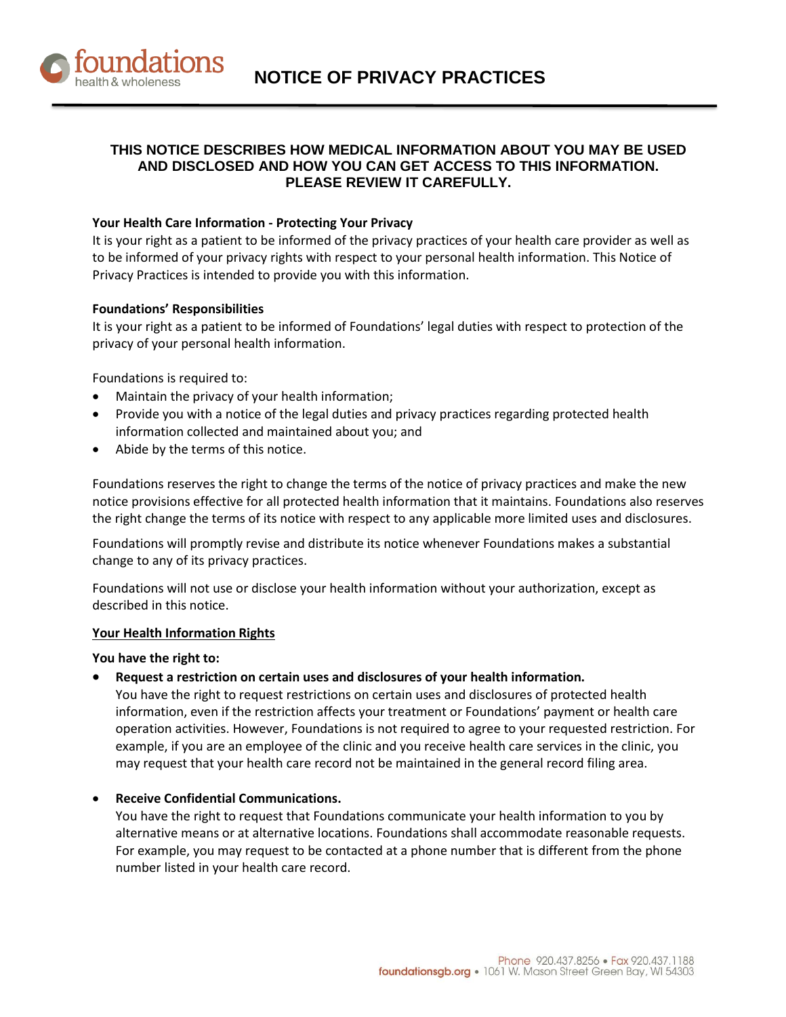

# **THIS NOTICE DESCRIBES HOW MEDICAL INFORMATION ABOUT YOU MAY BE USED AND DISCLOSED AND HOW YOU CAN GET ACCESS TO THIS INFORMATION. PLEASE REVIEW IT CAREFULLY.**

# **Your Health Care Information - Protecting Your Privacy**

It is your right as a patient to be informed of the privacy practices of your health care provider as well as to be informed of your privacy rights with respect to your personal health information. This Notice of Privacy Practices is intended to provide you with this information.

### **Foundations' Responsibilities**

It is your right as a patient to be informed of Foundations' legal duties with respect to protection of the privacy of your personal health information.

Foundations is required to:

- Maintain the privacy of your health information;
- Provide you with a notice of the legal duties and privacy practices regarding protected health information collected and maintained about you; and
- Abide by the terms of this notice.

Foundations reserves the right to change the terms of the notice of privacy practices and make the new notice provisions effective for all protected health information that it maintains. Foundations also reserves the right change the terms of its notice with respect to any applicable more limited uses and disclosures.

Foundations will promptly revise and distribute its notice whenever Foundations makes a substantial change to any of its privacy practices.

Foundations will not use or disclose your health information without your authorization, except as described in this notice.

### **Your Health Information Rights**

**You have the right to:**

### **Request a restriction on certain uses and disclosures of your health information.**

You have the right to request restrictions on certain uses and disclosures of protected health information, even if the restriction affects your treatment or Foundations' payment or health care operation activities. However, Foundations is not required to agree to your requested restriction. For example, if you are an employee of the clinic and you receive health care services in the clinic, you may request that your health care record not be maintained in the general record filing area.

# **Receive Confidential Communications.**

You have the right to request that Foundations communicate your health information to you by alternative means or at alternative locations. Foundations shall accommodate reasonable requests. For example, you may request to be contacted at a phone number that is different from the phone number listed in your health care record.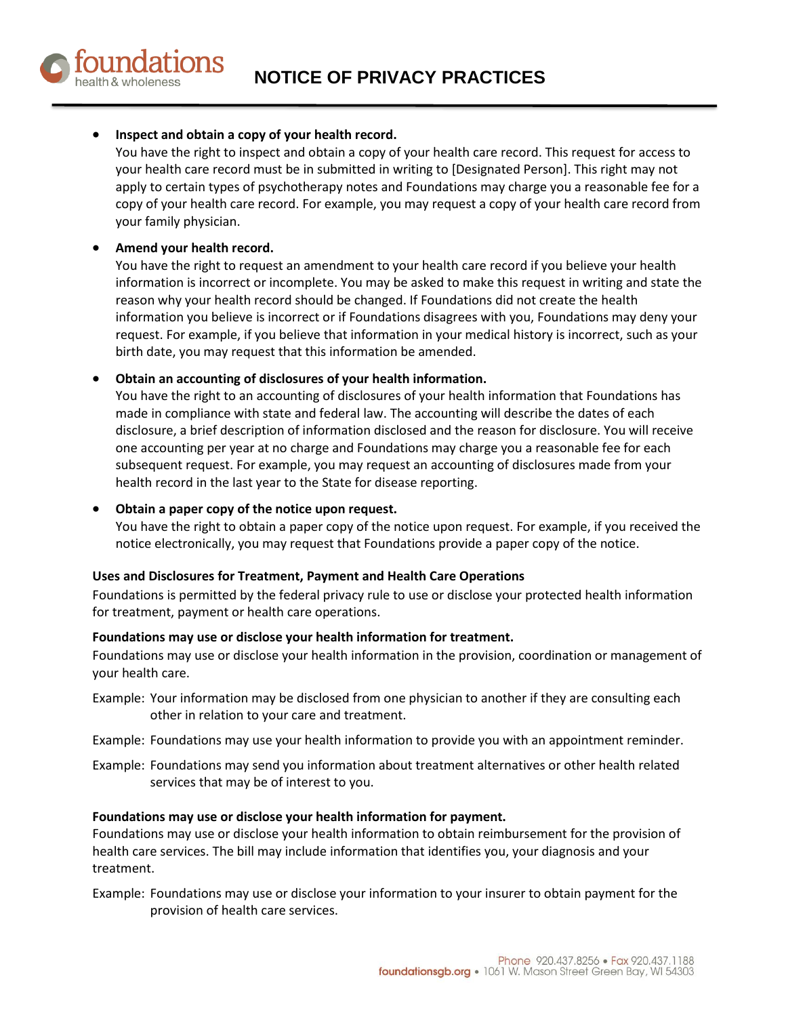**NOTICE OF PRIVACY PRACTICES**

# **Inspect and obtain a copy of your health record.**

You have the right to inspect and obtain a copy of your health care record. This request for access to your health care record must be in submitted in writing to [Designated Person]. This right may not apply to certain types of psychotherapy notes and Foundations may charge you a reasonable fee for a copy of your health care record. For example, you may request a copy of your health care record from your family physician.

# **Amend your health record.**

You have the right to request an amendment to your health care record if you believe your health information is incorrect or incomplete. You may be asked to make this request in writing and state the reason why your health record should be changed. If Foundations did not create the health information you believe is incorrect or if Foundations disagrees with you, Foundations may deny your request. For example, if you believe that information in your medical history is incorrect, such as your birth date, you may request that this information be amended.

# **Obtain an accounting of disclosures of your health information.**

You have the right to an accounting of disclosures of your health information that Foundations has made in compliance with state and federal law. The accounting will describe the dates of each disclosure, a brief description of information disclosed and the reason for disclosure. You will receive one accounting per year at no charge and Foundations may charge you a reasonable fee for each subsequent request. For example, you may request an accounting of disclosures made from your health record in the last year to the State for disease reporting.

### **Obtain a paper copy of the notice upon request.**

You have the right to obtain a paper copy of the notice upon request. For example, if you received the notice electronically, you may request that Foundations provide a paper copy of the notice.

### **Uses and Disclosures for Treatment, Payment and Health Care Operations**

Foundations is permitted by the federal privacy rule to use or disclose your protected health information for treatment, payment or health care operations.

### **Foundations may use or disclose your health information for treatment.**

Foundations may use or disclose your health information in the provision, coordination or management of your health care.

- Example: Your information may be disclosed from one physician to another if they are consulting each other in relation to your care and treatment.
- Example: Foundations may use your health information to provide you with an appointment reminder.
- Example: Foundations may send you information about treatment alternatives or other health related services that may be of interest to you.

### **Foundations may use or disclose your health information for payment.**

Foundations may use or disclose your health information to obtain reimbursement for the provision of health care services. The bill may include information that identifies you, your diagnosis and your treatment.

Example: Foundations may use or disclose your information to your insurer to obtain payment for the provision of health care services.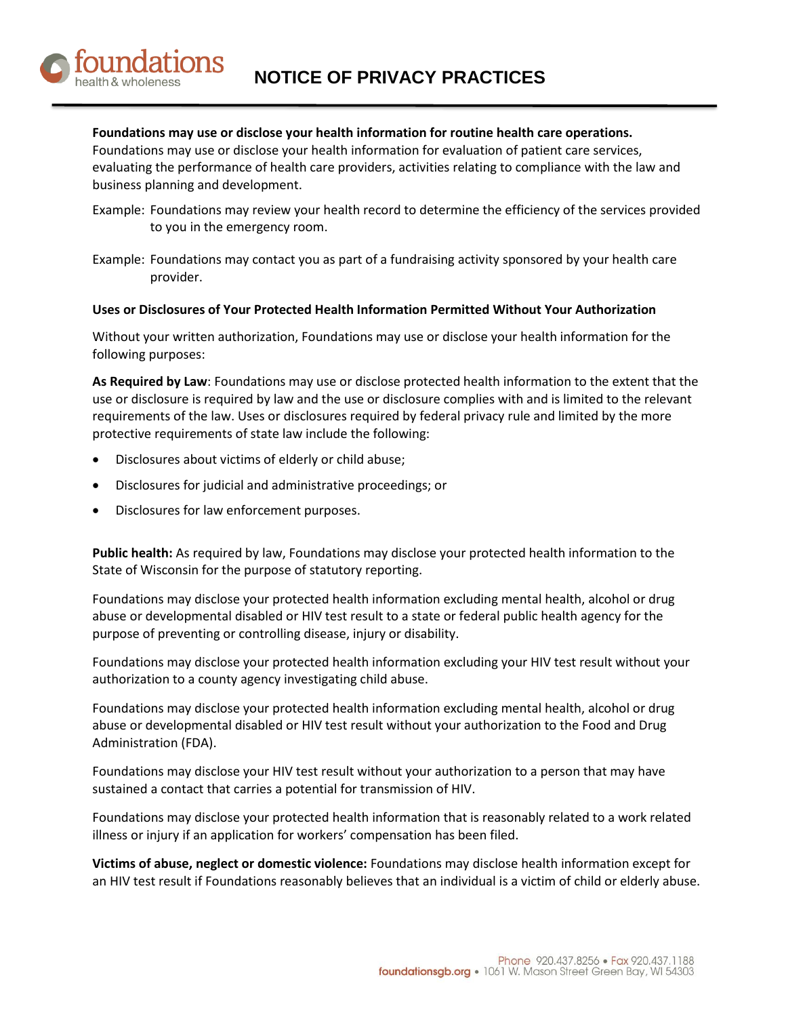

# **Foundations may use or disclose your health information for routine health care operations.**

Foundations may use or disclose your health information for evaluation of patient care services, evaluating the performance of health care providers, activities relating to compliance with the law and business planning and development.

- Example: Foundations may review your health record to determine the efficiency of the services provided to you in the emergency room.
- Example: Foundations may contact you as part of a fundraising activity sponsored by your health care provider.

### **Uses or Disclosures of Your Protected Health Information Permitted Without Your Authorization**

Without your written authorization, Foundations may use or disclose your health information for the following purposes:

**As Required by Law**: Foundations may use or disclose protected health information to the extent that the use or disclosure is required by law and the use or disclosure complies with and is limited to the relevant requirements of the law. Uses or disclosures required by federal privacy rule and limited by the more protective requirements of state law include the following:

- Disclosures about victims of elderly or child abuse;
- Disclosures for judicial and administrative proceedings; or
- Disclosures for law enforcement purposes.

**Public health:** As required by law, Foundations may disclose your protected health information to the State of Wisconsin for the purpose of statutory reporting.

Foundations may disclose your protected health information excluding mental health, alcohol or drug abuse or developmental disabled or HIV test result to a state or federal public health agency for the purpose of preventing or controlling disease, injury or disability.

Foundations may disclose your protected health information excluding your HIV test result without your authorization to a county agency investigating child abuse.

Foundations may disclose your protected health information excluding mental health, alcohol or drug abuse or developmental disabled or HIV test result without your authorization to the Food and Drug Administration (FDA).

Foundations may disclose your HIV test result without your authorization to a person that may have sustained a contact that carries a potential for transmission of HIV.

Foundations may disclose your protected health information that is reasonably related to a work related illness or injury if an application for workers' compensation has been filed.

**Victims of abuse, neglect or domestic violence:** Foundations may disclose health information except for an HIV test result if Foundations reasonably believes that an individual is a victim of child or elderly abuse.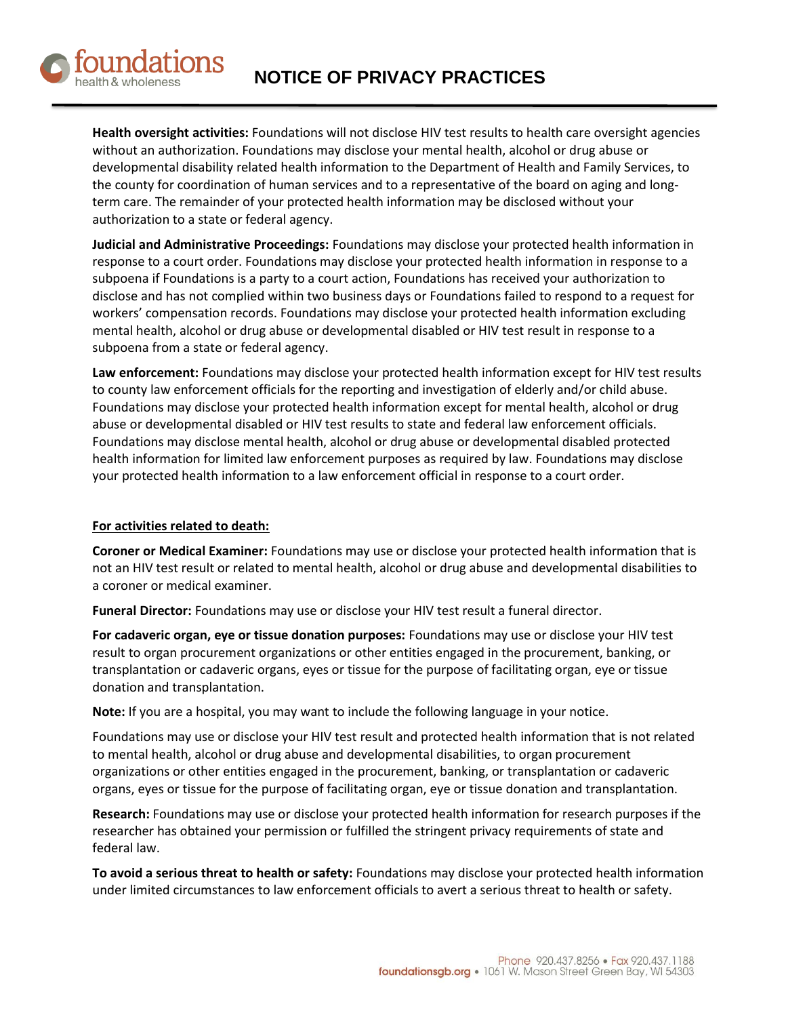

**Health oversight activities:** Foundations will not disclose HIV test results to health care oversight agencies without an authorization. Foundations may disclose your mental health, alcohol or drug abuse or developmental disability related health information to the Department of Health and Family Services, to the county for coordination of human services and to a representative of the board on aging and longterm care. The remainder of your protected health information may be disclosed without your authorization to a state or federal agency.

**Judicial and Administrative Proceedings:** Foundations may disclose your protected health information in response to a court order. Foundations may disclose your protected health information in response to a subpoena if Foundations is a party to a court action, Foundations has received your authorization to disclose and has not complied within two business days or Foundations failed to respond to a request for workers' compensation records. Foundations may disclose your protected health information excluding mental health, alcohol or drug abuse or developmental disabled or HIV test result in response to a subpoena from a state or federal agency.

**Law enforcement:** Foundations may disclose your protected health information except for HIV test results to county law enforcement officials for the reporting and investigation of elderly and/or child abuse. Foundations may disclose your protected health information except for mental health, alcohol or drug abuse or developmental disabled or HIV test results to state and federal law enforcement officials. Foundations may disclose mental health, alcohol or drug abuse or developmental disabled protected health information for limited law enforcement purposes as required by law. Foundations may disclose your protected health information to a law enforcement official in response to a court order.

# **For activities related to death:**

**Coroner or Medical Examiner:** Foundations may use or disclose your protected health information that is not an HIV test result or related to mental health, alcohol or drug abuse and developmental disabilities to a coroner or medical examiner.

**Funeral Director:** Foundations may use or disclose your HIV test result a funeral director.

**For cadaveric organ, eye or tissue donation purposes:** Foundations may use or disclose your HIV test result to organ procurement organizations or other entities engaged in the procurement, banking, or transplantation or cadaveric organs, eyes or tissue for the purpose of facilitating organ, eye or tissue donation and transplantation.

**Note:** If you are a hospital, you may want to include the following language in your notice.

Foundations may use or disclose your HIV test result and protected health information that is not related to mental health, alcohol or drug abuse and developmental disabilities, to organ procurement organizations or other entities engaged in the procurement, banking, or transplantation or cadaveric organs, eyes or tissue for the purpose of facilitating organ, eye or tissue donation and transplantation.

**Research:** Foundations may use or disclose your protected health information for research purposes if the researcher has obtained your permission or fulfilled the stringent privacy requirements of state and federal law.

**To avoid a serious threat to health or safety:** Foundations may disclose your protected health information under limited circumstances to law enforcement officials to avert a serious threat to health or safety.